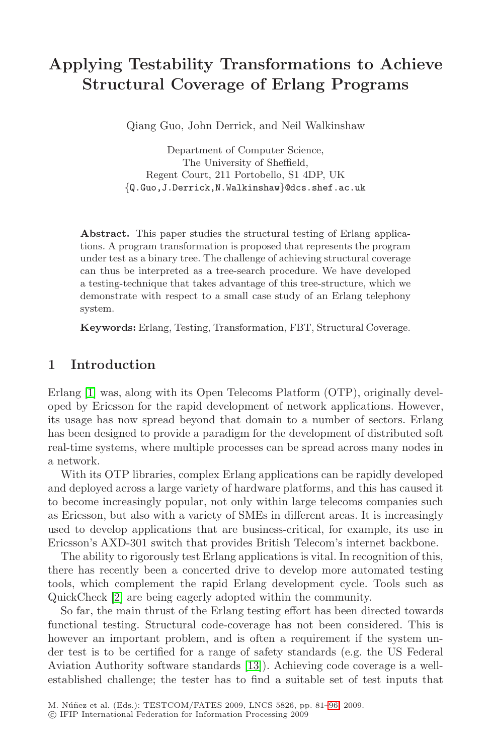# **Applying Testability Transformations to Achieve Structural Coverage of Erlang Programs**

Qiang Guo, John Derrick, and Neil Walkinshaw

Department of Computer Science, The University of Sheffield, Regent Court, 211 Portobello, S1 4DP, UK {Q.Guo,J.Derrick,N.Walkinshaw}@dcs.shef.ac.uk

**Abstract.** This paper studies the structural testing of Erlang applications. A program transformation is proposed that represents the program under test as a binary tree. The challenge of achieving structural coverage can thus be interpreted as a tree-search procedure. We have developed a testing-technique that takes advantage of this tree-structure, which we demonstrate with respect to a small case study of an Erlang telephony system.

**Keywords:** Erlang, Testing, Transformation, FBT, Structural Coverage.

# **1 Introduction**

Erlang [1] was, along with its Open Telecoms Platform (OTP), originally developed by Ericsson for the rapid development of network applications. However, its usage has now spread beyond that domain to a number of sectors. Erlang has been designed to provide a paradigm for the development of distributed soft real-time systems, where multiple processes can be spread across many nodes in a network.

With its OTP libraries, complex Erlang applications can be rapidly developed and deployed across a large variety of hardware platforms, and this has caused it to become increasingly popular, not only within large telecoms companies such as Ericsson, but also with a variety of SMEs in different areas. It is increasingly used to develop applications that are business-critical, for example, its use in Ericsson's AXD-301 switch that provides British Telecom's internet backbone.

The ability to rigo[rous](#page-15-0)ly test Erlang applications is vital. In recognition of this, there has recently been a concerted drive to develop more automated testing tools, which complement the rapid Erlang development cycle. Tools such as QuickCheck [2] are being eagerly ado[pte](#page-15-1)d within the community.

So far, the main thrust of the Erlang testing effort has been directed towards functional testing. Structural code-coverage has not been considered. This is however an important problem, and is often a requirement if the system under test is to be certified for a range of safety standards (e.g. the US Federal Aviation Authority software standards [13]). Achieving code coverage is a wellestablished challenge; the tester has to find a suitable set of test inputs that

-c IFIP International Federation for Information Processing 2009

M. Núñez et al. (Eds.): TESTCOM/FATES 2009, LNCS 5826, pp. 81-96, 2009.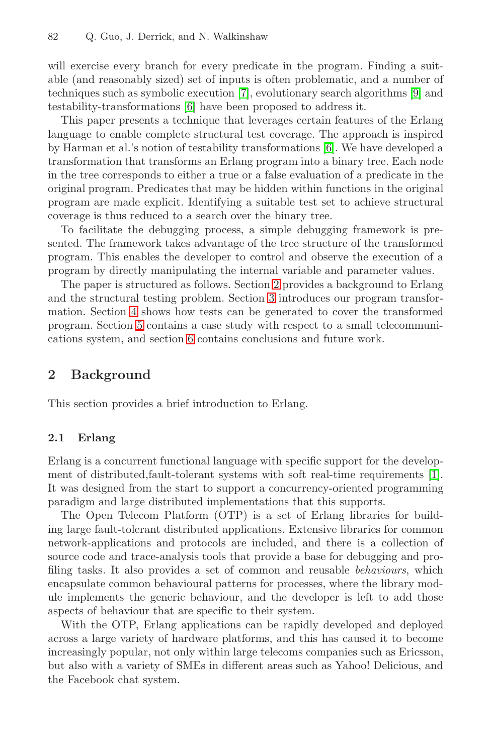will exercise every branch for every predicate in the program. Finding a suitable (and reasonably sized) set of inputs is often problematic, and a number of techniques such as symbolic execution [7], evolutionary search algorithms [9] and testability-transformations [6] have been proposed to address it.

This paper presents a technique that leverages certain features of the Erlang language to enable complete structural test coverage. The approach is inspired by Harman et al.'s notion of testability transformations [6]. We have developed a transformation that transforms an Erlang program into a binary tree. Each node in the tree corresponds to [ei](#page-1-0)ther a true or a false evaluation of a predicate in the original program. Predic[ate](#page-3-0)s that may be hidden within functions in the original program are made explicit. Identifying a suitable test set to achieve structural [c](#page-10-0)overage is thus reduced to a search over the binary tree.

<span id="page-1-0"></span>To fa[cili](#page-14-0)tate the debugging process, a simple debugging framework is presented. The framework takes advantage of the tree structure of the transformed program. This enables the developer to control and observe the execution of a program by directly manipulating the internal variable and parameter values.

The paper is structured as follows. Section 2 provides a background to Erlang and the structural testing problem. Section 3 introduces our program transformation. Section 4 shows how tests can be generated to cover the transformed program. Section 5 contains a case study with respect to a small telecommunications system, and section 6 contains conclusions and future work.

# **2 Background**

This section provides a brief introduction to Erlang.

## **2.1 Erlang**

Erlang is a concurrent functional language with specific support for the development of distributed,fault-tolerant systems with soft real-time requirements [1]. It was designed from the start to support a concurrency-oriented programming paradigm and large distributed implementations that this supports.

The Open Telecom Platform (OTP) is a set of Erlang libraries for building large fault-tolerant distributed applications. Extensive libraries for common network-applications and protocols are included, and there is a collection of source code and trace-analysis tools that provide a base for debugging and profiling tasks. It also provides a set of common and reusable *behaviours*, which encapsulate common behavioural patterns for processes, where the library module implements the generic behaviour, and the developer is left to add those aspects of behaviour that are specific to their system.

With the OTP, Erlang applications can be rapidly developed and deployed across a large variety of hardware platforms, and this has caused it to become increasingly popular, not only within large telecoms companies such as Ericsson, but also with a variety of SMEs in different areas such as Yahoo! Delicious, and the Facebook chat system.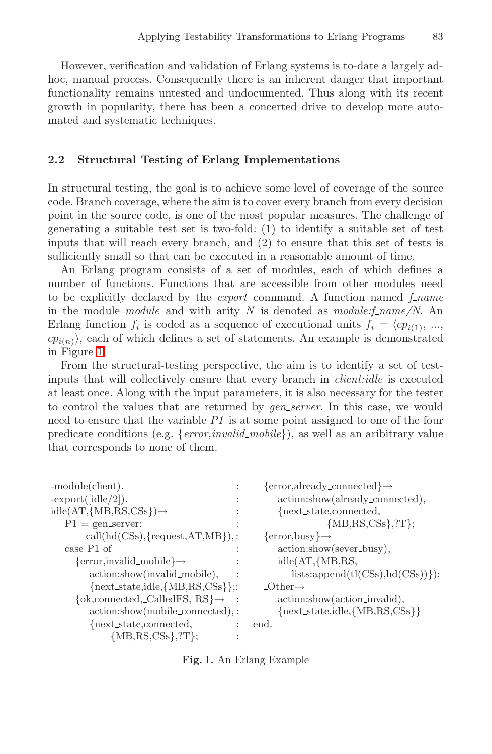However, verification and validation of Erlang systems is to-date a largely adhoc, manual process. Consequently there is an inherent danger that important functionality remains untested and undocumented. Thus along with its recent growth in popularity, there has been a concerted drive to develop more automated and systematic techniques.

## **2.2 Structural Testing of Erlang Implementations**

In structural testing, the goal is to achieve some level of coverage of the source code. Branch coverage, where the aim is to cover every branch from every decision point in the source code, is one of the most popular measures. The challenge of generating a suitable test set is two-fold: (1) to identify a suitable set of test inputs that will reach every branch, and (2) to ensure that this set of tests is sufficiently small so that can be executed in a reasonable amount of time.

An Erlang program consists of a set of modules, each of which defines a number of functions. Functions that are accessible from other modules need to be explicitly declared by the *export* command. A function named *f name* in the module *module* and with arity *N* is denoted as *module:f name/N*. An Erlang function  $f_i$  is coded as a sequence of executional units  $f_i = \langle cp_{i(1)}, \ldots,$  $\langle p_{i(n)} \rangle$ , each of which defines a set of statements. An example is demonstrated in Figure 1.

From the structural-testing perspective, the aim is to identify a set of testinputs that will collectively ensure that every branch in *client:idle* is executed at least once. Along with the input parameters, it is also necessary for the tester to control the values that are returned by *gen server*. In this case, we would need to ensure that the variable *P1* is at some point assigned to one of the four predicate conditions (e.g. {*error,invalid mobile*}), as well as an aribitrary value that corresponds to none of them.

<span id="page-2-0"></span>

| -module(client).                                           | $\{\text{error}, \text{already connected}\}\rightarrow$ |
|------------------------------------------------------------|---------------------------------------------------------|
| $-export([idle/2]).$                                       | action:show(already_connected),                         |
| $idle(AT, {MB, RS, CSs}) \rightarrow$                      | {next_state,connected}                                  |
| $P1 = gen server$                                          | ${MB, RS, CSs}, ?T};$                                   |
| $call(hd(CSs), \{request, AT, MB\}),$                      | $\{error, busy\} \rightarrow$                           |
| case $P1$ of                                               | action:show(sever_busy),                                |
| $\{\text{error}, \text{invalid mobile}\}\rightarrow$       | $idle(AT, {MB, RS},$                                    |
| action:show(invalid_mobile),                               | $lists:append(tl(CSS),hd(CSS))\};$                      |
| $\{next\_state, idle, {MB, RS, CSs}\};$                    | $\_O$ ther $\rightarrow$                                |
| $\{ok, connected, CalledFS, RS\} \rightarrow$<br>$\cdot$ : | action:show(action_invalid),                            |
| action:show(mobile_connected),:                            | $\{next\_state, idle, {MB, RS, CSs}\}\$                 |
| {next_state,connected,                                     | end.                                                    |
| ${MB, RS, CSs}, ?T};$                                      |                                                         |
|                                                            |                                                         |

**Fig. 1.** An Erlang Example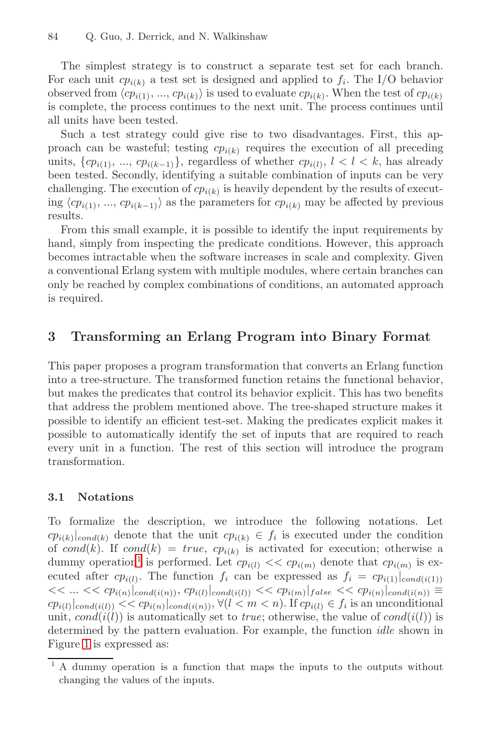The simplest strategy is to construct a separate test set for each branch. For each unit  $cp_{i(k)}$  a test set is designed and applied to  $f_i$ . The I/O behavior observed from  $\langle cp_{i(1)}, ..., cp_{i(k)} \rangle$  is used to evaluate  $cp_{i(k)}$ . When the test of  $cp_{i(k)}$ is complete, the process continues to the next unit. The process continues until all units have been tested.

Such a test strategy could give rise to two disadvantages. First, this approach can be wasteful; testing  $cp_{i(k)}$  requires the execution of all preceding units,  $\{cp_{i(1)}, \ldots, cp_{i(k-1)}\}$ , regardless of whether  $cp_{i(l)}, l < l < k$ , has already been tested. Secondly, identifying a suitable combination of inputs can be very challenging. The execution of  $cp_{i(k)}$  is heavily dependent by the results of executing  $\langle cp_{i(1)}, ..., cp_{i(k-1)}\rangle$  as the parameters for  $cp_{i(k)}$  may be affected by previous results.

<span id="page-3-0"></span>From this small example, it is possible to identify the input requirements by hand, simply from inspecting the predicate conditions. However, this approach becomes intractable when the software increases in scale and complexity. Given a conventional Erlang system with multiple modules, where certain branches can only be reached by complex combinations of conditions, an automated approach is required.

## **3 Transforming an Erlang Program into Binary Format**

This paper proposes a program transformation that converts an Erlang function into a tree-structure. The transformed function retains the functional behavior, but makes the predicates that control its behavior explicit. This has two benefits that address the problem mentioned above. The tree-shaped structure makes it possible to identify an efficient test-set. Making the predicates explicit makes it possible to automatically identify the set of inputs that are required to reach every unit in a function. The rest of this section will introduce the program transformation.

#### **3.1 Notations**

To formalize the description, we introduce the following notations. Let  $cp_{i(k)}|_{cond(k)}$  denote that the unit  $cp_{i(k)} \in f_i$  is executed under the condition of *cond*(*k*). If *cond*(*k*) = *true*,  $cp_{i(k)}$  is activated for execution; otherwise a dummy operation<sup>1</sup> is performed. Let  $cp_{i(l)} \ll cp_{i(m)}$  denote that  $cp_{i(m)}$  is executed after  $cp_{i(l)}$ . The function  $f_i$  can be expressed as  $f_i = cp_{i(1)}|_{cond(i(1))}$  $<< \ldots << cp_{i(n)}|_{cond(i(n))}, cp_{i(l)}|_{cond(i(l))} << cp_{i(m)}|_{false} << cp_{i(n)}|_{cond(i(n))} \equiv$  $cp_i(t)|_{cond(i(t))} << cp_i(n)|_{cond(i(n))}$ ,  $\forall (l < m < n)$ . If  $cp_i(t) \in f_i$  is an unconditional unit,  $cond(i(l))$  is automatically set to *true*; otherwise, the value of  $cond(i(l))$  is determined by the pattern evaluation. For example, the function *idle* shown in Figure 1 is expressed as:

<sup>1</sup> A dummy operation is a function that maps the inputs to the outputs without changing the values of the inputs.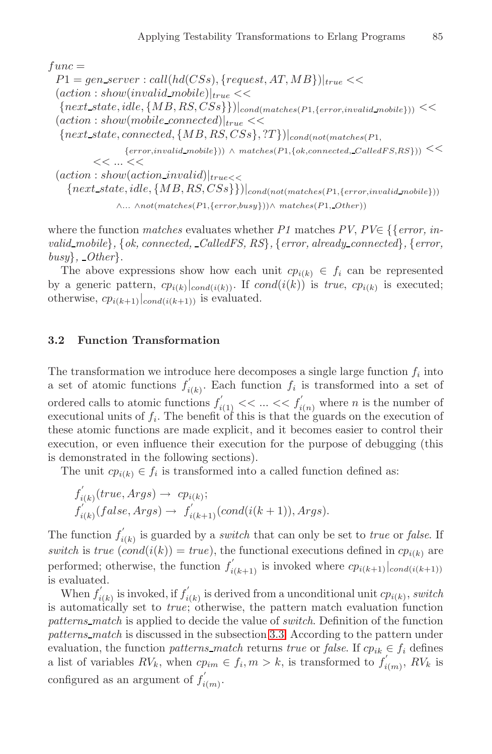$func =$  $P1 = gen\_server : call(hd(CSS), \{request, AT, MB\})|_{true}$  $(action: show(invalid\_mobile)|_{true} <<$  ${next\_state, idle, {MB, RS, CSs}})|_{cond(matches(P1, {error, invalid\_mobile}))}$  <<  $(\text{action}: show(mobile\_connected)|_{true}$  <<  ${next-state, connected, {MB, RS, CSs}, ?T}$ )|*cond*(*not*(*matches*(*P*<sub>1</sub>*)* {*error,invalid mobile*})) <sup>∧</sup> *matches*(*<sup>P</sup>* <sup>1</sup>*,*{*ok,connected, CalledF S,RS*})) *<< << ... <<* (*action* : *show*(*action invalid*)|*true<<*  ${next\_state, idle, {MB, RS, CSs}})|_{cond(not(matches(P1, \{error, invalid \ mobile\}))}$ ∧*...* ∧*not*(*matches*(*P* 1*,*{*error,busy*}))∧ *matches*(*P* 1*, Other*))

where the function *matches* evaluates whether *P1* matches *PV*, *PV*∈ {{*error, invalid mobile*}*,* {*ok, connected, CalledFS, RS*}*,* {*error, already connected*}*,* {*error, busy*}*, Other*}.

The above expressions show how each unit  $c p_{i(k)} \in f_i$  can be represented by a generic pattern,  $cp_{i(k)}|_{cond(i(k))}$ . If  $cond(i(k))$  is *true*,  $cp_{i(k)}$  is executed; otherwise,  $cp_{i(k+1)}|_{cond(i(k+1))}$  is evaluated.

## **3.2 Function Transformation**

The transformation we introduce here decomposes a single large function *f<sup>i</sup>* into a set of atomic functions  $f'_{i(k)}$ . Each function  $f_i$  is transformed into a set of ordered calls to atomic functions  $f'_{i(1)} \ll \ldots \ll f'_{i(n)}$  where *n* is the number of executional units of *fi*. The benefit of this is that the guards on the execution of these atomic functions are made explicit, and it becomes easier to control their execution, or even influence their execution for the purpose of debugging (this is demonstrated in the following sections).

The unit  $cp_{i(k)} \in f_i$  is transformed into a called function defined as:

$$
f'_{i(k)}(true, Args) \rightarrow cp_{i(k)};
$$
  

$$
f'_{i(k)}(false, Args) \rightarrow f'_{i(k+1)}(cond(i(k+1)), Args).
$$

The function  $f'_{i(k)}$  is guar[ded](#page-6-0) by a *switch* that can only be set to *true* or *false*. If *switch* is *true* (*cond*(*i*(*k*)) = *true*), the functional executions defined in  $cp_{i(k)}$  are performed; otherwise, the function  $f'_{i(k+1)}$  is invoked where  $cp_{i(k+1)}|_{cond(i(k+1))}$ is evaluated.

When  $f'_{i(k)}$  is invoked, if  $f'_{i(k)}$  is derived from a unconditional unit  $cp_{i(k)}$ , *switch* is automatically set to *true*; otherwise, the pattern match evaluation function *patterns match* is applied to decide the value of *switch*. Definition of the function *patterns match* is discussed in the subsection 3.3. According to the pattern under evaluation, the function *patterns\_match* returns *true* or *false*. If  $cp_{ik} \in f_i$  defines a list of variables  $RV_k$ , when  $cp_{im} \in f_i, m > k$ , is transformed to  $f'_{i(m)}$ ,  $RV_k$  is configured as an argument of  $f'_{i(m)}$ .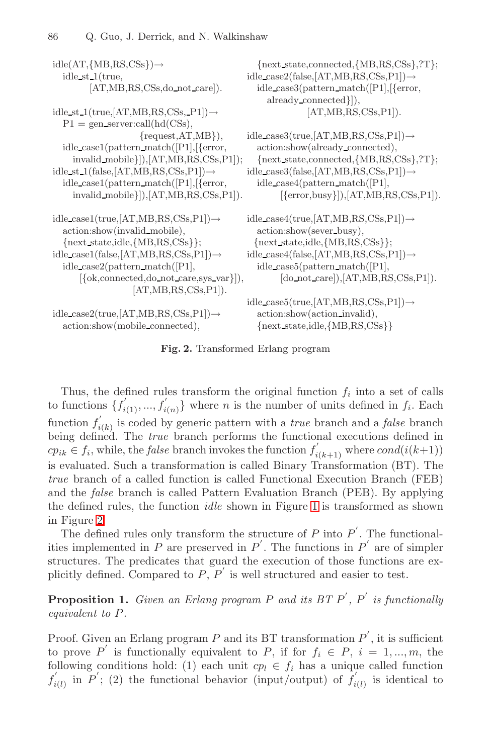idle(AT,{MB,RS,CSs})→ {next state,connected,{MB,RS,CSs},?T}; idle\_case2(false,[AT,MB,RS,CSs,P1])→<br>
[AT,MB,RS,CSs,do\_not\_care]). idle\_case3(pattern\_match([P1],[{erro  $idle$ case3(pattern\_match([P1],[{error, already connected}]),  $idle_st_1(true,[AT, MB, RS, CSS, P1]) \rightarrow$  [AT,MB,RS,CSs,P1]).  $P1 = gen-server:call(hd(CSs),$  ${request, AT, MB},$  idle\_case3(true,[AT,MB,RS,CSs,P1]) $\rightarrow$ idle case1(pattern match([P1],[{error, action:show(already connected), invalid\_mobile}]),[AT,MB,RS,CSs,P1]); {next\_state,connected,{MB,RS,CSs},?T};  $idle\_st_1(false,[AT,MB,RS,CSs,P1])\rightarrow$  idle\_case3(false,[AT,MB,RS,CSs,P1]) $\rightarrow$ idle case1(pattern match([P1],[{error, idle case4(pattern match([P1], invalid\_mobile}]),[AT,MB,RS,CSs,P1]). [{error,busy}]),[AT,MB,RS,CSs,P1]).  $idle\_case1(true.[AT, MB, RS, CSs, P1]) \rightarrow$   $ide\_case4(true,[AT, MB, RS, CSs, P1]) \rightarrow$ action:show(invalid\_mobile), action:show(sever\_busy), {next\_state,idle,{MB,RS,CSs}}; {next\_state,idle,{MB,RS,CSs}};  $idle\_case1(false,[AT,MB,RS,CSs,P1])\rightarrow$  idle\_case4(false,[AT,MB,RS,CSs,P1]) $\rightarrow$ idle case2(pattern\_match([P1], idle\_case5(pattern\_match([P1], [{ok,connected,do\_not\_care,sys\_var}]), [do\_not\_care]),[AT,MB,RS,CSs,P1]).  $[AT, MB, RS, CSs, P1]$ . idle\_case5(true, $[AT, MB, RS, CSs, P1]$ ) $\rightarrow$ idle case2(true, $[AT, MB, RS, CSs, P1]$ ) action:show(action invalid), action:show(mobile connected), {next state,idle,{MB,RS,CSs}}

<span id="page-5-0"></span>**Fig. 2.** Transformed Erlang program

Thus, the defined rules transform the original function *f<sup>i</sup>* into a set of calls to functions  $\{f'_{i(1)},...,f'_{i(n)}\}$  wh[e](#page-2-0)re *n* is the number of units defined in  $f_i$ . Each function  $f'_{i(k)}$  is coded by generic pattern with a *true* branch and a *false* branch being defined. The *true* branch performs the functional executions defined in  $cp_{ik} \in f_i$ , while, the *false* branch invokes the function  $f'_{i(k+1)}$  where  $cond(i(k+1))$ is evaluated. Such a transformation is called Binary Transformation (BT). The *true* branch of a called function is called Functional Execution Branch (FEB) and the *false* branch is called Pattern Evaluation Branch (PEB). By applying the defined rules, the function *idle* shown in Figure 1 is transformed as shown in Figure 2.

The defined rules only transform the structure of  $P$  into  $P'$ . The functionalities implemented in  $P$  are preserved in  $P'$ . The functions in  $P'$  are of simpler structures. The predicates that guard the execution of those functions are explicitly defined. Compared to  $P, P'$  is well structured and easier to test.

**Proposition 1.** *Given an Erlang program P and its BT P', P' is functionally equivalent to P.*

Proof. Given an Erlang program *P* and its BT transformation  $P'$ , it is sufficient to prove  $P'$  is functionally equivalent to  $P$ , if for  $f_i \in P$ ,  $i = 1, ..., m$ , the following conditions hold: (1) each unit  $c p_l \in f_i$  has a unique called function  $f'_{i(l)}$  in *P*<sup>'</sup>; (2) the functional behavior (input/output) of  $f'_{i(l)}$  is identical to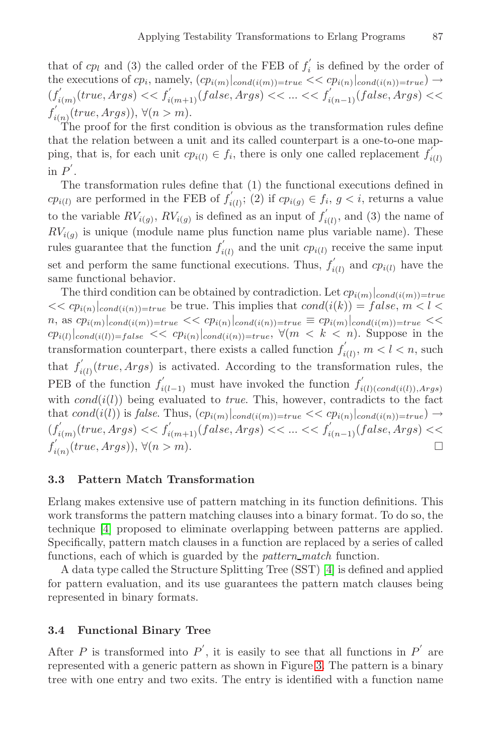that of  $cp_l$  and (3) the called order of the FEB of  $f'_i$  is defined by the order of the executions of  $cp_i$ , namely,  $(cp_{i(m)}|_{cond(i(m))=true} \leq c p_{i(n)}|_{cond(i(n))=true}) \rightarrow$  $(f'_{i(m)}(true, Args) \ll f'_{i(m+1)}(false, Args) \ll \ldots \ll f'_{i(n-1)}(false, Args) \ll \ldots$  $f'_{i(n)}(true, Args)$ ),  $\forall (n>m)$ .

The proof for the first condition is obvious as the transformation rules define that the relation between a unit and its called counterpart is a one-to-one mapping, that is, for each unit  $cp_{i(l)} \in f_i$ , there is only one called replacement  $f'_{i(l)}$ in  $P^{'}$ .

The transformation rules define that (1) the functional executions defined in  $cp_{i(l)}$  are performed in the FEB of  $f'_{i(l)}$ ; (2) if  $cp_{i(g)} \in f_i$ ,  $g < i$ , returns a value to the variable  $RV_{i(g)}$ ,  $RV_{i(g)}$  is defined as an input of  $f'_{i(l)}$ , and (3) the name of  $RV_{i(q)}$  is unique (module name plus function name plus variable name). These rules guarantee that the function  $f'_{i(l)}$  and the unit  $cp_{i(l)}$  receive the same input set and perform the same functional executions. Thus,  $f'_{i(l)}$  and  $cp_{i(l)}$  have the same functional behavior.

<span id="page-6-0"></span>The third condition can be obtained by contradiction. Let  $cp_{i(m)}|_{cond(i(m))=true}$  $<< cp_{i(n)}|_{cond(i(n))=true}$  be true. This implies that  $cond(i(k)) = false, m < l <$ n, as  $cp_{i(m)}|_{cond(i(m))=true} \ll cp_{i(n)}|_{cond(i(n))=true} \equiv cp_{i(m)}|_{cond(i(m))=true} \ll$  $\langle c p_{i(l)}|_{cond(i(l))=false} \ll c p_{i(n)}|_{cond(i(n))=true}, \forall (m < k < n).$  Suppose in the transformation counterpart, there exists a called function  $f'_{i(l)}$ ,  $m < l < n$ , such that  $f'_{i(l)}(true, Args)$  is activated. According to the transformation rules, the PEB of the function  $f'_{i(l-1)}$  must have invoked the function  $f'_{i(l)(cond(i(l)),Args)}$ <br>with  $cond(i(l))$  being evaluated to *true*. This, however, contradicts to the fact that  $cond(i(l))$  is *false*. Thus,  $(cp_{i(m)}|_{cond(i(m))=true} \leq c p_{i(n)}|_{cond(i(n))=true}) \rightarrow$  $(f'_{i(m)}(true, Args) \ll f'_{i(m+1)}(false, Args) \ll \ldots \ll f'_{i(n-1)}(false, Args) \ll \ldots$  $f'_{i(n)}(true, Args)), \forall (n>m).$  $\Box$ 

# **3.3 Pattern Match Transformation**

Erlang makes extensive use of pattern matching in its function definitions. This work transforms the pattern matching clauses into a binary format. To do so, the technique [4] proposed to eliminate overlapping between patterns are applied. Specifically, pattern match clauses in a function are replaced by a series of called functions, each of which is guarde[d b](#page-7-0)y the *pattern match* function.

A data type called the Structure Splitting Tree (SST) [4] is defined and applied for pattern evaluation, and its use guarantees the pattern match clauses being represented in binary formats.

## **3.4 Functional Binary Tree**

After *P* is transformed into  $P'$ , it is easily to see that all functions in  $P'$  are represented with a generic pattern as shown in Figure 3. The pattern is a binary tree with one entry and two exits. The entry is identified with a function name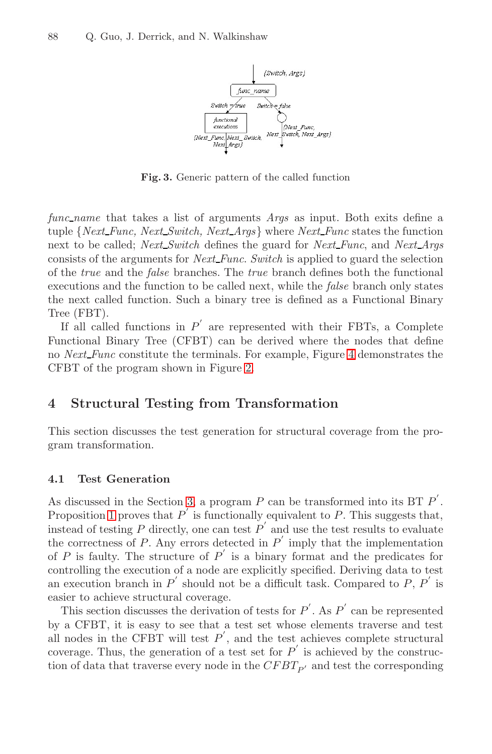<span id="page-7-0"></span>

**Fig. 3.** Generic pattern of the called function

*func name* that takes a list of arguments *Args* as input. Both exits define a tuple {*Next Func, Next Switch, Next Args*} where *Next Func* states the function next to be called; *Next Switch* defines th[e](#page-8-0) guard for *Next Func*, and *Next Args* consists of the argu[men](#page-5-0)ts for *Next Func*. *Switch* is applied to guard the selection of the *true* and the *false* branches. The *true* branch defines both the functional executions and the function to be called next, while the *false* branch only states the next called function. Such a binary tree is defined as a Functional Binary Tree (FBT).

If all called functions in  $P'$  are represented with their FBTs, a Complete Functional Binary Tree (CFBT) can be derived where the nodes that define no *Next Func* constitute the terminals. For example, Figure 4 demonstrates the CFBT of the program shown in Figure 2.

## **4 Str[u](#page-3-0)ctural Testing from Transformation**

This section discusses the test generation for structural coverage from the program transformation.

## **4.1 Test Generation**

As discussed in the Section 3, a program P can be transformed into its BT  $P'$ . Proposition 1 proves that  $P'$  is functionally equivalent to  $P$ . This suggests that, instead of testing  $P$  directly, one can test  $P'$  and use the test results to evaluate the correctness of  $P$ . Any errors detected in  $P'$  imply that the implementation of  $P$  is faulty. The structure of  $P'$  is a binary format and the predicates for controlling the execution of a node are explicitly specified. Deriving data to test an execution branch in  $P'$  should not be a difficult task. Compared to  $P, P'$  is easier to achieve structural coverage.

This section discusses the derivation of tests for  $P'$ . As  $P'$  can be represented by a CFBT, it is easy to see that a test set whose elements traverse and test all nodes in the CFBT will test  $P'$ , and the test achieves complete structural coverage. Thus, the generation of a test set for  $P'$  is achieved by the construction of data that traverse every node in the  $CFBT_{P'}$  and test the corresponding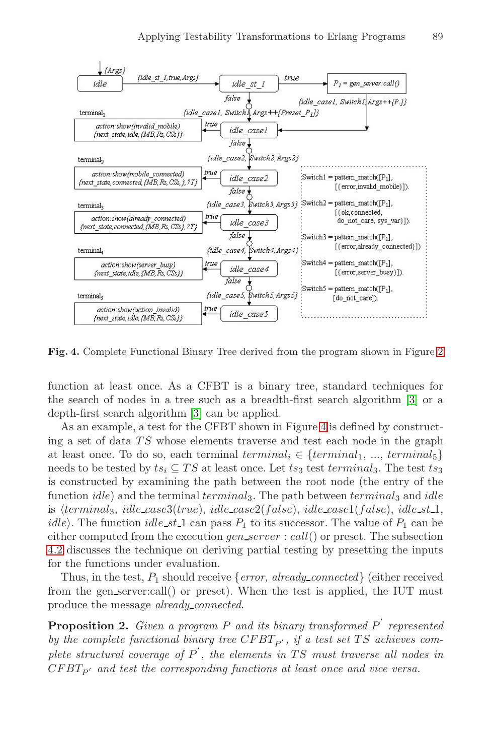

<span id="page-8-0"></span>**Fig. 4.** Complete Functional Binary Tree derived from the program shown in Figure 2

function at least once. As a CFBT is a binary tree, standard techniques for the search of nodes in a tree such as a breadth-first search algorithm [3] or a depth-first search algorithm [3] can be applied.

As an example, a test for the CFBT shown in Figure 4 is defined by constructing a set of data *T S* whose elements traverse and test each node in the graph at least once. To do so, each terminal  $terminal_i \in \{terminal_1, ..., terminal_5\}$ needs to be tested by  $ts_i \subseteq TS$  at least once. Let  $ts_3$  test *terminal*<sub>3</sub>. The test  $ts_3$ is constructed by examining the path between the root node (the entry of the function *idle*) and the terminal *terminal*3. The path between *terminal*<sup>3</sup> and *idle*  $i$ s  $\langle terminal_3, idle\_case3(true), idle\_case2(false), idle\_case1(false), idle\_st\_1,$ *idle*). The function *idle st* 1 can pass  $P_1$  to its successor. The value of  $P_1$  can be either computed from the execution *gen server* : *call*() or preset. The subsection 4.2 discusses the technique on deriving partial testing by presetting the inputs for the functions under evaluation.

Thus, in the test, *P*<sup>1</sup> should receive {*error, already connected*} (either received from the gen server:call() or preset). When the test is applied, the IUT must produce the message *already connected*.

**Proposition 2.** *Given a program P and its binary transformed P*<sup> $\prime$ </sup> *represented* by the complete functional binary tree  $CFBT_{P'}$ , if a test set  $TS$  achieves com*plete structural coverage of P*- *, the elements in T S must traverse all nodes in*  $CFBT_{P'}$  and test the corresponding functions at least once and vice versa.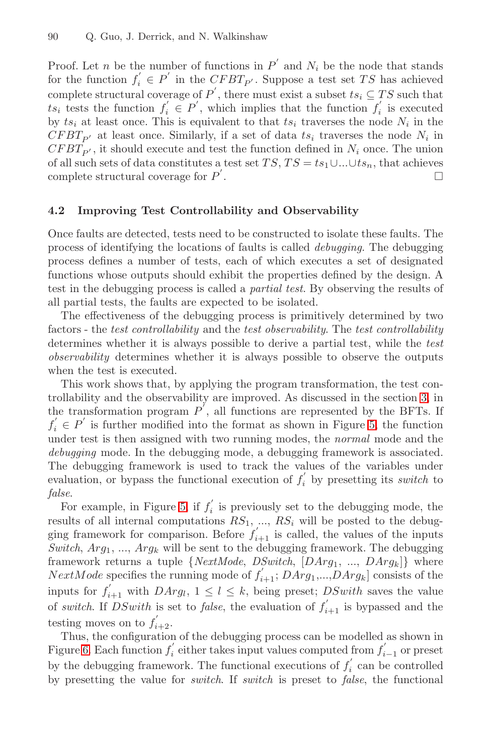<span id="page-9-0"></span>Proof. Let *n* be the number of functions in  $P'$  and  $N_i$  be the node that stands for the function  $f_i' \in P'$  in the  $CFBT_{P'}$ . Suppose a test set *TS* has achieved complete structural coverage of  $P'$ , there must exist a subset  $ts_i \subseteq TS$  such that  $ts_i$  tests the function  $f'_i \in P'$ , which implies that the function  $f'_i$  is executed by  $ts_i$  at least once. This is equivalent to that  $ts_i$  traverses the node  $N_i$  in the  $CFBT_{P'}$  at least once. Similarly, if a set of data  $ts_i$  traverses the node  $N_i$  in  $CFBT_{P'}$ , it should execute and test the function defined in  $N_i$  once. The union of all such sets of data constitutes a test set  $TS, TS = ts_1 \cup ... \cup ts_n$ , that achieves complete structural coverage for *P*- . The contract of the contract of  $\Box$  $\Box$ 

#### **4.2 Improving Test Controllability and Observability**

Once faults are detected, tests need to be constructed to isolate these faults. The process of identifying the locations of faults is called *debugging*. The debugging process defines a number of tests, each of which executes a set of designated functions whose outputs should exhibit the properties defined by the design. A test in the debugging process is called a *partial test*. By [ob](#page-3-0)serving the results of all partial tests, the faults are expected to be isolated.

The effectiveness of the debugging proces[s is](#page-10-1) primitively determined by two factors - the *test controllability* and the *test observability*. The *test controllability* determines whether it is always possible to derive a partial test, while the *test observability* determines whether it is always possible to observe the outputs when the test is executed.

This work shows that, by applying the program transformation, the test controllab[ilit](#page-10-1)y and the observability are improved. As discussed in the section 3, in the transformation program  $P'$ , all functions are represented by the BFTs. If  $f_i' \in P'$  is further modified into the format as shown in Figure 5, the function under test is then assigned with two running modes, the *normal* mode and the *debugging* mode. In the debugging mode, a debugging framework is associated. The debugging framework is used to track the values of the variables under evaluation, or bypass the functional execution of  $f_i'$  by presetting its *switch* to *false*.

For example, in Figure 5, if  $f_i$  is previously set to the debugging mode, the results of all internal computations  $RS_1$ , ...,  $RS_i$  will be posted to the debugging framework for comparison. Before  $f'_{i+1}$  is called, the values of the inputs *Switch*, *Arg*1, ..., *Arg<sup>k</sup>* will be sent to the debugging framework. The debugging framework returns a tuple {*NextMode*, *DSwitch*, [*DArg*1, ..., *DArgk*]} where *NextMode* specifies the running mode of  $f'_{i+1}$ ;  $DArg_1$ ,..., $DArg_k$  consists of the inputs for  $f'_{i+1}$  with  $DArg_l$ ,  $1 \leq l \leq k$ , being preset;  $DSwith$  saves the value of *switch*. If *DSwith* is set to *false*, the evaluation of  $f'_{i+1}$  is bypassed and the testing moves on to  $f'_{i+2}$ .

Thus, the configuration of the debugging process can be modelled as shown in Figure 6. Each function  $f_i'$  either takes input values computed from  $f_{i-1}'$  or preset by the debugging framework. The functional executions of  $f_i'$  can be controlled by presetting the value for *switch*. If *switch* is preset to *false*, the functional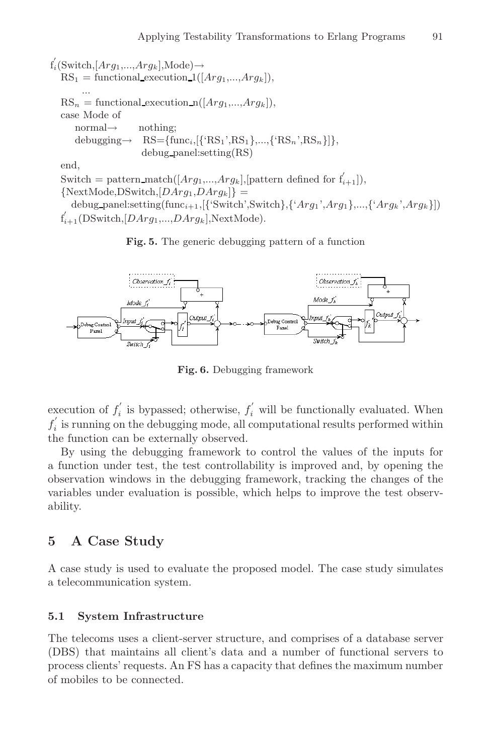$f'_{i}$ (Switch,[ $Arg_1$ ,..., $Arg_k$ ],Mode)→  $RS_1 =$  functional execution  $1([Arg_1,...,Arg_k]),$ ...  $RS_n =$  functional execution  $n([Arg_1,...,Arg_k]),$ case Mode of normal→ nothing; debugging $\rightarrow$  RS={func<sub>*i*</sub>,[{'RS<sub>1</sub>',RS<sub>1</sub>},...,{'RS<sub>n</sub>',RS<sub>n</sub>}]}, debug panel:setting(RS) end, Switch = pattern\_match( $[Arg_1, ..., Arg_k]$ , [pattern defined for  $f'_{i+1}$ ]),  ${\text{NextMode},\text{DSwitch},[DArg_1, DArg_k]} =$ 

debug panel:setting(func*i*+1,[{'Switch',Switch},{'*Arg*1',*Arg*1},...,{'*Argk*',*Argk*}])  $f'_{i+1}$ (DSwitch,[*DArg*<sub>1</sub>,...,*DArg*<sub>*k*</sub>],NextMode).

<span id="page-10-1"></span>**Fig. 5.** The generic debugging pattern of a function



**Fig. 6.** Debugging framework

execution of  $f_i$  is bypassed; otherwise,  $f_i$  will be functionally evaluated. When  $f'_{i}$  is running on the debugging mode, all computational results performed within the function can be externally observed.

By using the debugging framework to control the values of the inputs for a function under test, the test controllability is improved and, by opening the observation windows in the debugging framework, tracking the changes of the variables under evaluation is possible, which helps to improve the test observability.

# <span id="page-10-0"></span>**5 A Case Study**

A case study is used to evaluate the proposed model. The case study simulates a telecommunication system.

## **5.1 System Infrastructure**

The telecoms uses a client-server structure, and comprises of a database server (DBS) that maintains all client's data and a number of functional servers to process clients' requests. An FS has a capacity that defines the maximum number of mobiles to be connected.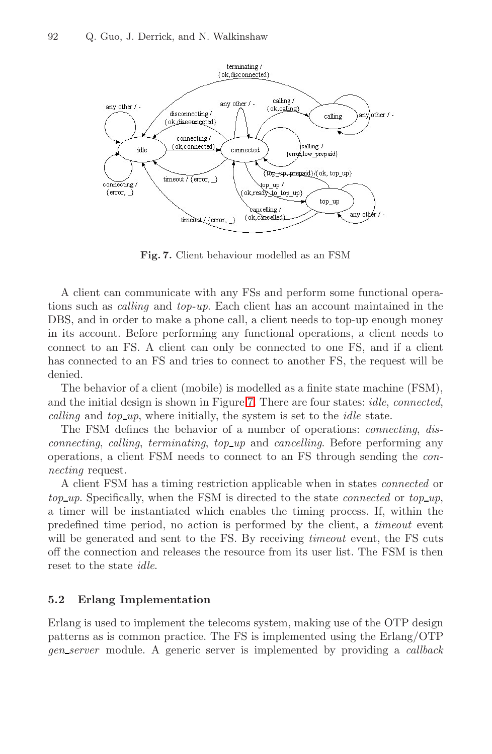<span id="page-11-0"></span>

**Fig. 7.** Client behaviour modelled as an FSM

A client can com[mu](#page-11-0)nicate with any FSs and perform some functional operations such as *calling* and *top-up*. Each client has an account maintained in the DBS, and in order to make a phone call, a client needs to top-up enough money in its account. Before performing any functional operations, a client needs to connect to an FS. A client can only be connected to one FS, and if a client has connected to an FS and tries to connect to another FS, the request will be denied.

The behavior of a client (mobile) is modelled as a finite state machine (FSM), and the initial design is shown in Figure 7. There are four states: *idle*, *connected*, *calling* and *top up*, where initially, the system is set to the *idle* state.

The FSM defines the behavior of a number of operations: *connecting*, *disconnecting*, *calling*, *terminating*, *top up* and *cancelling*. Before performing any operations, a client FSM needs to connect to an FS through sending the *connecting* request.

A client FSM has a timing restriction applicable when in states *connected* or *top up*. Specifically, when the FSM is directed to the state *connected* or *top up*, a timer will be instantiated which enables the timing process. If, within the predefined time period, no action is performed by the client, a *timeout* event will be generated and sent to the FS. By receiving *timeout* event, the FS cuts off the connection and releases the resource from its user list. The FSM is then reset to the state *idle*.

## **5.2 Erlang Implementation**

Erlang is used to implement the telecoms system, making use of the OTP design patterns as is common practice. The FS is implemented using the Erlang/OTP *gen server* module. A generic server is implemented by providing a *callback*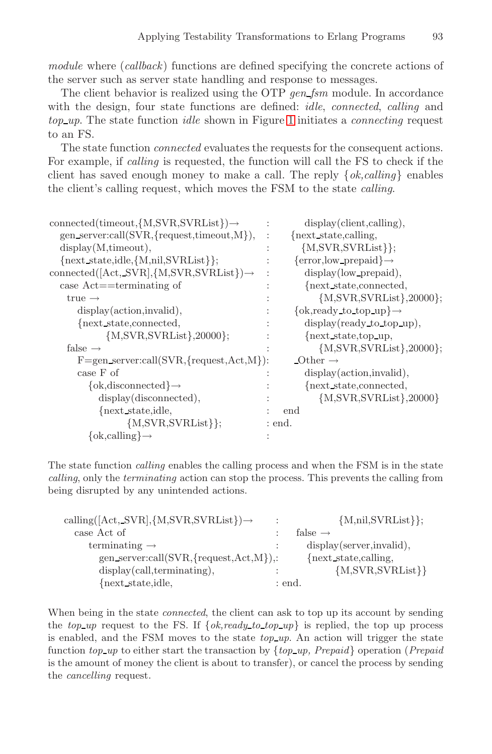*module* where (*callback*) functions are defined specifying the concrete actions of the server such as server state handling and response to messages.

The client behavior is realized using the OTP *gen fsm* module. In accordance with the design, four state functions are defined: *idle*, *connected*, *calling* and *top up*. The state function *idle* shown in Figure 1 initiates a *connecting* request to an FS.

The state function *connected* evaluates the requests for the consequent actions. For example, if *calling* is requested, the function will call the FS to check if the client has saved enough money to make a call. The reply {*ok,calling*} enables the client's calling request, which moves the FSM to the state *calling*.

| $connected(timeout, \{M, SVR, SVRList\}) \rightarrow$   | display(client, calling),                   |
|---------------------------------------------------------|---------------------------------------------|
| gen_server:call(SVR, ${recust, timeout, M}$ ),          | $\{next\_state, calling,$                   |
| display(M,timeout),                                     | ${M, SVR, SVRList}$ :                       |
| $\{next-state, idle, {M, nil, SVRList}\};$              | $\{\text{error, low, prepaid}\}\rightarrow$ |
| $connected([Act, SVR], {M, SVR}, SVRList]) \rightarrow$ | $display(low\_prepaid),$                    |
| case $Act = t$ erminating of                            | {next_state,connected,                      |
| true $\rightarrow$                                      | ${M, SVR, SVRList}, 20000};$                |
| display(action, invalid),                               | $\{ok, ready\ to\ top\ up\} \rightarrow$    |
| {next_state,connected,                                  | $display(ready_to-topup),$                  |
| ${M, SVR, SVRList}, 20000};$                            | $\{next\_state, top-up,$                    |
| false $\rightarrow$                                     | ${M, SVR, SVRList}, 20000};$                |
| $F = gen\_server:call(SVR, \{request, Act, M\})$ :      | $\_\text{Other}\rightarrow$                 |
| case F of                                               | display(action, invalid),                   |
| $\{\text{ok,disconnected}\}\rightarrow$                 | {next_state,connected,                      |
| display(disconnected),                                  | ${M, SVR, SVRList}, 20000}$                 |
| {next state, idle,                                      | end                                         |
| ${M, SVR, SVRList}$ ;                                   | : end.                                      |
| $\{ok, calling\} \rightarrow$                           |                                             |
|                                                         |                                             |

The state function *calling* enables the calling process and when the FSM is in the state *calling*, only the *terminating* action can stop the process. This prevents the calling from being disrupted by any unintended actions.

| $\text{calling}([Act, SVR], \{M, SVR, SVRList\}) \rightarrow$ | $\ddot{\phantom{0}}$ : | ${M, nil, SVRList}$ ;     |
|---------------------------------------------------------------|------------------------|---------------------------|
| case Act of                                                   |                        | false $\rightarrow$       |
| terminating $\rightarrow$                                     |                        | display(server, invalid), |
| gen_server:call( $SVR$ , {request, Act, M}),:                 |                        | {next_state,calling,      |
| display(call, terminating),                                   |                        | ${M, SVR, SVRList}$       |
| {next state, idle,                                            |                        | : end.                    |

When being in the state *connected*, the client can ask to top up its account by sending the *top up* request to the FS. If {*ok,ready to top up*} is replied, the top up process is enabled, and the FSM moves to the state  $top\_up$ . An action will trigger the state function *top up* to either start the transaction by {*top up, Prepaid*} operation (*Prepaid* is the amount of money the client is about to transfer), or cancel the process by sending the *cancelling* request.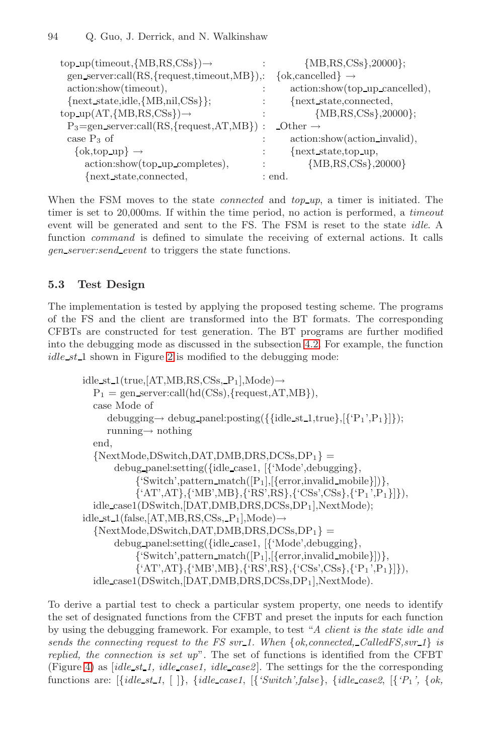| top_up(timeout, ${MB, RS, CSs}$ ) $\rightarrow$                             |                | ${MB, RS, CSs}, 20000};$           |
|-----------------------------------------------------------------------------|----------------|------------------------------------|
| gen server:call(RS, {request, timeout, MB}),: {ok, cancelled} $\rightarrow$ |                |                                    |
| action:show(timeout),                                                       |                | $action: show(top_up, cancelled),$ |
| $\{next\_state, idle, {MB, nil, CSs}\};$                                    |                | {next_state,connected,             |
| $top-up(AT, {MB, RS, CSs}) \rightarrow$                                     |                | ${MB, RS, CSs}, 20000};$           |
| $P_3 = gen server:call(RS, \{request, AT, MB\}) : Other \rightarrow$        |                |                                    |
| case $P_3$ of                                                               |                | action:show(action_invalid),       |
| $\{ok, top, up\} \rightarrow$                                               |                | {next state, top_up,               |
| action: show(top, up, completes),                                           | $\ddot{\cdot}$ | ${MB, RS, CSs}, 20000$             |
| {next_state,connected,                                                      |                | : end.                             |

When the FSM moves to the state *connected* and *top up*, a timer is initiated. The timer is set to 20,000ms. If within the time period, no action is performed, a *timeout* event will be generated and sent to the FS. The FSM is reset to the state *idle*. A function *command* is defined to s[imu](#page-9-0)late the receiving of external actions. It calls *gen s[er](#page-5-0)ver:send event* to triggers the state functions.

#### **5.3 Test Design**

The implementation is tested by applying the proposed testing scheme. The programs of the FS and the client are transformed into the BT formats. The corresponding CFBTs are constructed for test generation. The BT programs are further modified into the debugging mode as discussed in the subsection 4.2. For example, the function *idle\_st\_1* shown in Figure 2 is modified to the debugging mode:

idle\_st\_1(true, $[AT, MB, RS, CSs, P_1], Mode$ )  $\rightarrow$  $P_1 = \text{gen\_server:call(hd(CSs),\{request,AT,MB\})}$ case Mode of debugging  $\rightarrow$  debug panel: posting ({{idle st\_1,true}, [{ ${}^{P_1}, P_1$ }]}); running→ nothing end,  $\{NextMode,DSwitch, DAT, DMB, DRS, DCSs, DP_1\}$  = debug panel:setting({idle case1, [{'Mode',debugging},  ${\text{``Switch',pattern\_match([P_1],[ferror, invalid\_mobile'])}}$  $\{'AT', AT\}, \{'MB', MB\}, \{'RS', RS\}, \{'CSS',CSs\}, \{'P_1', P_1\}]\},$ idle case1(DSwitch,[DAT,DMB,DRS,DCSs,DP1],NextMode); idle st 1(false,[AT,MB,RS,CSs, P1],Mode)→  $\{NextMode,DSwitch, DAT, DMB,DRS,DCSS, DP<sub>1</sub>\}$ debug panel:setting({idle case1, [{'Mode',debugging},  ${\text{'Switch',pattern\_match([P_1],[{error, invalid\_mobile}])}}$  $\{ 'AT', AT\}, \{ 'MB', MB\}, \{ 'RS', RS\}, \{ 'CSS', CSS\}, \{ 'P_1', P_1\}]\},$ idle case1(DSwitch,[DAT,DMB,DRS,DCSs,DP1],NextMode).

To derive a partial test to check a particular system property, one needs to identify the set of designated functions from the CFBT and preset the inputs for each function by using the debugging framework. For example, to test "*A client is the state idle and sends the connecting request to the FS svr 1. When* {*ok,connected, CalledFS,svr 1*} *is replied, the connection is set up*". The set of functions is identified from the CFBT (Figure 4) as [*idle st 1, idle case1, idle case2*]. The settings for the the corresponding functions are:  $[\{idle\_st\_1, [\ ]\}, \{idle\_case1, [\{'Switch', false\}, \{idle\_case2, [\{'P_1', \{ok, \ ]\}}\}$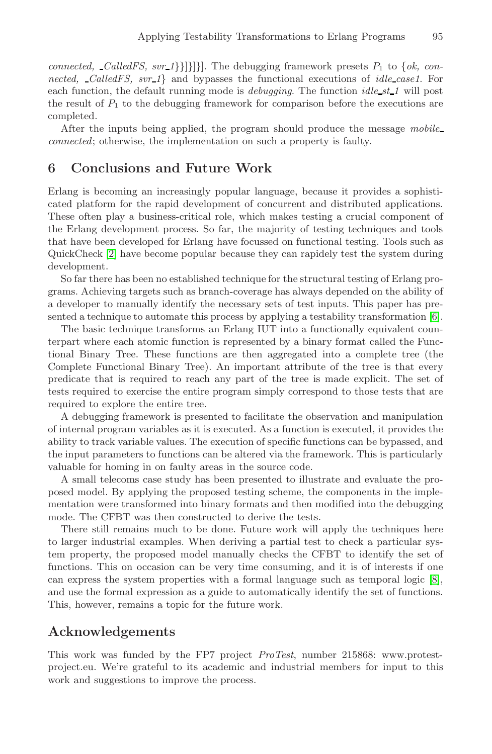<span id="page-14-0"></span>*connected,*  $\text{Calculate } F S, \text{ sur } \{1\} \}$ ]. The debugging framework presets  $P_1$  to  $\{ok, \text{ con-} \}$ *nected, CalledFS, svr 1*} and bypasses the functional executions of *idle case1*. For each function, the default running mode is *debugging*. The function *idle\_st\_1* will post the result of  $P_1$  to the debugging framework for comparison before the executions are completed.

After the inputs being applied, the program should produce the message *mobile connected*; otherwise, the implementation on such a property is faulty.

# **6 Conclusions and Future Work**

Erlang is becoming an increasingly popular language, because it provides a sophisticated platform for the rapid development of concurrent and distributed applications. These often play a business-critical role, which makes testing [a](#page-15-2) crucial component of the Erlang development process. So far, the majority of testing techniques and tools that have been developed for Erlang have focussed on functional testing. Tools such as QuickCheck [2] have become popular because they can rapidely test the system during development.

So far there has been no established technique for the structural testing of Erlang programs. Achieving targets such as branch-coverage has always depended on the ability of a developer to manually identify the necessary sets of test inputs. This paper has presented a technique to automate this process by applying a testability transformation [6].

The basic technique transforms an Erlang IUT into a functionally equivalent counterpart where each atomic function is represented by a binary format called the Functional Binary Tree. These functions are then aggregated into a complete tree (the Complete Functional Binary Tree). An important attribute of the tree is that every predicate that is required to reach any part of the tree is made explicit. The set of tests required to exercise the entire program simply correspond to those tests that are required to explore the entire tree.

A debugging framework is presented to facilitate the observation and manipulation of internal program variables as it is executed. As a function is executed, it provides the ability to track variable values. The execution of specific functions can be bypassed, and the input parameters to functions can be altered via the framework. This is particularly valuable for homing in on faulty areas in the source code.

A small telecoms case study has been presented to illustrat[e](#page-15-3) [a](#page-15-3)nd evaluate the proposed model. By applying the proposed testing scheme, the components in the implementation were transformed into binary formats and then modified into the debugging mode. The CFBT was then constructed to derive the tests.

There still remains much to be done. Future work will apply the techniques here to larger industrial examples. When deriving a partial test to check a particular system property, the proposed model manually checks the CFBT to identify the set of functions. This on occasion can be very time consuming, and it is of interests if one can express the system properties with a formal language such as temporal logic [8], and use the formal expression as a guide to automatically identify the set of functions. This, however, remains a topic for the future work.

### **Acknowledgements**

This work was funded by the FP7 project *ProTest*, number 215868: www.protestproject.eu. We're grateful to its academic and industrial members for input to this work and suggestions to improve the process.